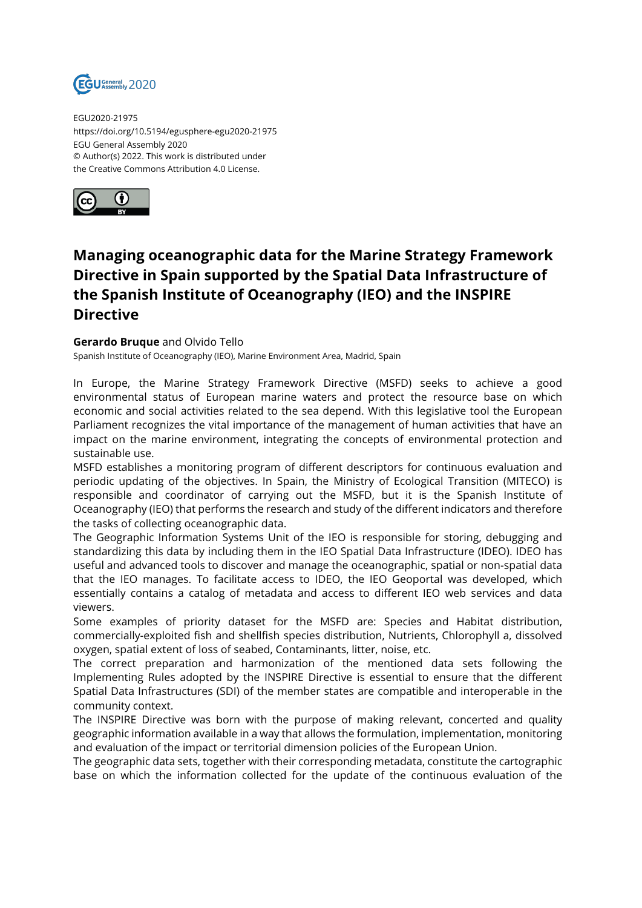

EGU2020-21975 https://doi.org/10.5194/egusphere-egu2020-21975 EGU General Assembly 2020 © Author(s) 2022. This work is distributed under the Creative Commons Attribution 4.0 License.



## **Managing oceanographic data for the Marine Strategy Framework Directive in Spain supported by the Spatial Data Infrastructure of the Spanish Institute of Oceanography (IEO) and the INSPIRE Directive**

## **Gerardo Bruque** and Olvido Tello

Spanish Institute of Oceanography (IEO), Marine Environment Area, Madrid, Spain

In Europe, the Marine Strategy Framework Directive (MSFD) seeks to achieve a good environmental status of European marine waters and protect the resource base on which economic and social activities related to the sea depend. With this legislative tool the European Parliament recognizes the vital importance of the management of human activities that have an impact on the marine environment, integrating the concepts of environmental protection and sustainable use.

MSFD establishes a monitoring program of different descriptors for continuous evaluation and periodic updating of the objectives. In Spain, the Ministry of Ecological Transition (MITECO) is responsible and coordinator of carrying out the MSFD, but it is the Spanish Institute of Oceanography (IEO) that performs the research and study of the different indicators and therefore the tasks of collecting oceanographic data.

The Geographic Information Systems Unit of the IEO is responsible for storing, debugging and standardizing this data by including them in the IEO Spatial Data Infrastructure (IDEO). IDEO has useful and advanced tools to discover and manage the oceanographic, spatial or non-spatial data that the IEO manages. To facilitate access to IDEO, the IEO Geoportal was developed, which essentially contains a catalog of metadata and access to different IEO web services and data viewers.

Some examples of priority dataset for the MSFD are: Species and Habitat distribution, commercially-exploited fish and shellfish species distribution, Nutrients, Chlorophyll a, dissolved oxygen, spatial extent of loss of seabed, Contaminants, litter, noise, etc.

The correct preparation and harmonization of the mentioned data sets following the Implementing Rules adopted by the INSPIRE Directive is essential to ensure that the different Spatial Data Infrastructures (SDI) of the member states are compatible and interoperable in the community context.

The INSPIRE Directive was born with the purpose of making relevant, concerted and quality geographic information available in a way that allows the formulation, implementation, monitoring and evaluation of the impact or territorial dimension policies of the European Union.

The geographic data sets, together with their corresponding metadata, constitute the cartographic base on which the information collected for the update of the continuous evaluation of the